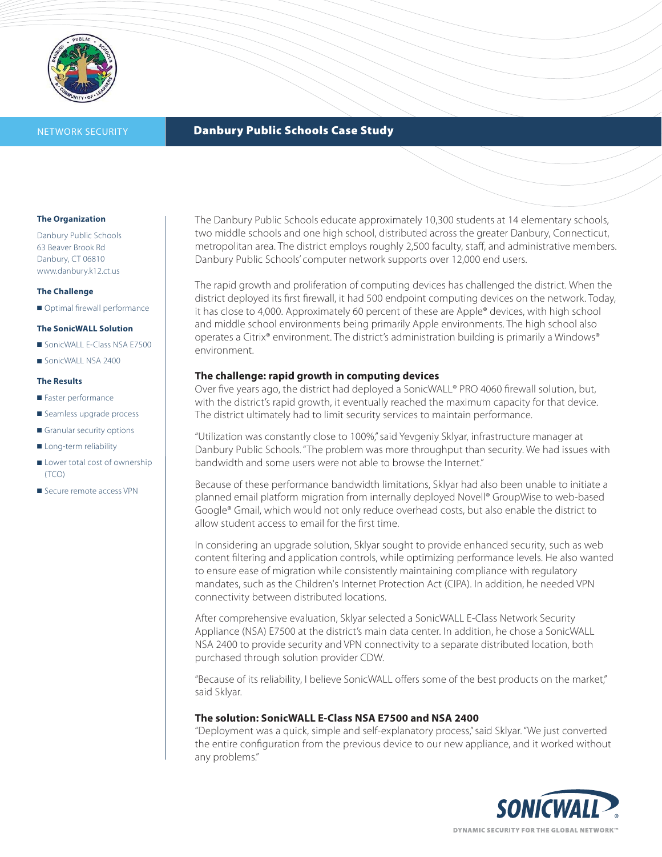

# NETWORK SECURITY **Danbury Public Schools Case Study**

### **The Organization**

Danbury Public Schools 63 Beaver Brook Rd Danbury, CT 06810 www.danbury.k12.ct.us

### **The Challenge**

■ Optimal firewall performance

#### **The SonicWALL Solution**

- SonicWALL E-Class NSA E7500
- SonicWALL NSA 2400

#### **The Results**

- Faster performance
- Seamless upgrade process
- Granular security options
- Long-term reliability
- Lower total cost of ownership (TCO)
- Secure remote access VPN

The Danbury Public Schools educate approximately 10,300 students at 14 elementary schools, two middle schools and one high school, distributed across the greater Danbury, Connecticut, metropolitan area. The district employs roughly 2,500 faculty, staff, and administrative members. Danbury Public Schools' computer network supports over 12,000 end users.

The rapid growth and proliferation of computing devices has challenged the district. When the district deployed its first firewall, it had 500 endpoint computing devices on the network. Today, it has close to 4,000. Approximately 60 percent of these are Apple® devices, with high school and middle school environments being primarily Apple environments. The high school also operates a Citrix® environment. The district's administration building is primarily a Windows® environment.

### **The challenge: rapid growth in computing devices**

Over five years ago, the district had deployed a SonicWALL® PRO 4060 firewall solution, but, with the district's rapid growth, it eventually reached the maximum capacity for that device. The district ultimately had to limit security services to maintain performance.

"Utilization was constantly close to 100%," said Yevgeniy Sklyar, infrastructure manager at Danbury Public Schools. "The problem was more throughput than security. We had issues with bandwidth and some users were not able to browse the Internet."

Because of these performance bandwidth limitations, Sklyar had also been unable to initiate a planned email platform migration from internally deployed Novell® GroupWise to web-based Google® Gmail, which would not only reduce overhead costs, but also enable the district to allow student access to email for the first time.

In considering an upgrade solution, Sklyar sought to provide enhanced security, such as web content filtering and application controls, while optimizing performance levels. He also wanted to ensure ease of migration while consistently maintaining compliance with regulatory mandates, such as the Children's Internet Protection Act (CIPA). In addition, he needed VPN connectivity between distributed locations.

After comprehensive evaluation, Sklyar selected a SonicWALL E-Class Network Security Appliance (NSA) E7500 at the district's main data center. In addition, he chose a SonicWALL NSA 2400 to provide security and VPN connectivity to a separate distributed location, both purchased through solution provider CDW.

"Because of its reliability, I believe SonicWALL offers some of the best products on the market," said Sklyar.

## **The solution: SonicWALL E-Class NSA E7500 and NSA 2400**

"Deployment was a quick, simple and self-explanatory process," said Sklyar. "We just converted the entire configuration from the previous device to our new appliance, and it worked without any problems."